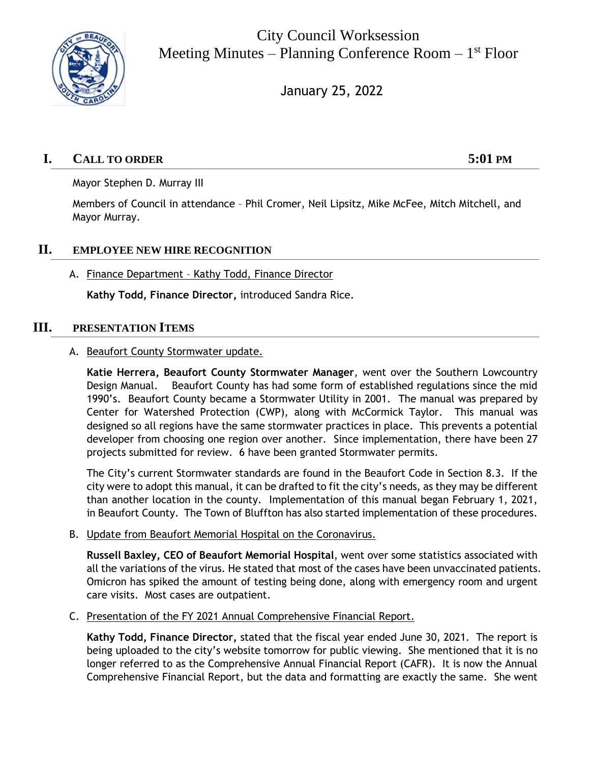

City Council Worksession Meeting Minutes – Planning Conference Room – 1<sup>st</sup> Floor

January 25, 2022

# **I. CALL TO ORDER 5:01 PM**

Mayor Stephen D. Murray III

Members of Council in attendance – Phil Cromer, Neil Lipsitz, Mike McFee, Mitch Mitchell, and Mayor Murray.

### **II. EMPLOYEE NEW HIRE RECOGNITION**

#### A. Finance Department – Kathy Todd, Finance Director

**Kathy Todd, Finance Director,** introduced Sandra Rice.

#### **III. PRESENTATION ITEMS**

#### A. Beaufort County Stormwater update.

**Katie Herrera, Beaufort County Stormwater Manager**, went over the Southern Lowcountry Design Manual. Beaufort County has had some form of established regulations since the mid 1990's. Beaufort County became a Stormwater Utility in 2001. The manual was prepared by Center for Watershed Protection (CWP), along with McCormick Taylor. This manual was designed so all regions have the same stormwater practices in place. This prevents a potential developer from choosing one region over another. Since implementation, there have been 27 projects submitted for review. 6 have been granted Stormwater permits.

The City's current Stormwater standards are found in the Beaufort Code in Section 8.3. If the city were to adopt this manual, it can be drafted to fit the city's needs, as they may be different than another location in the county. Implementation of this manual began February 1, 2021, in Beaufort County. The Town of Bluffton has also started implementation of these procedures.

B. Update from Beaufort Memorial Hospital on the Coronavirus.

**Russell Baxley, CEO of Beaufort Memorial Hospital**, went over some statistics associated with all the variations of the virus. He stated that most of the cases have been unvaccinated patients. Omicron has spiked the amount of testing being done, along with emergency room and urgent care visits. Most cases are outpatient.

C. Presentation of the FY 2021 Annual Comprehensive Financial Report.

**Kathy Todd, Finance Director,** stated that the fiscal year ended June 30, 2021. The report is being uploaded to the city's website tomorrow for public viewing. She mentioned that it is no longer referred to as the Comprehensive Annual Financial Report (CAFR). It is now the Annual Comprehensive Financial Report, but the data and formatting are exactly the same. She went